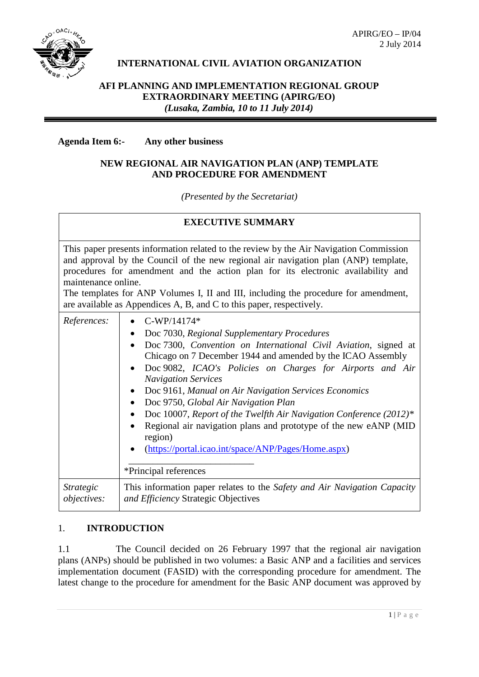

# **INTERNATIONAL CIVIL AVIATION ORGANIZATION**

## **AFI PLANNING AND IMPLEMENTATION REGIONAL GROUP EXTRAORDINARY MEETING (APIRG/EO)** *(Lusaka, Zambia, 10 to 11 July 2014)*

**Agenda Item 6:- Any other business**

### **NEW REGIONAL AIR NAVIGATION PLAN (ANP) TEMPLATE AND PROCEDURE FOR AMENDMENT**

*(Presented by the Secretariat)*

| <b>EXECUTIVE SUMMARY</b>                                                                                                                                                                                                                                                                                                                                                                                                                                |                                                                                                                                                                                                                                                                                                                                                                                                                                                                                                                                                                                                                                                |  |  |
|---------------------------------------------------------------------------------------------------------------------------------------------------------------------------------------------------------------------------------------------------------------------------------------------------------------------------------------------------------------------------------------------------------------------------------------------------------|------------------------------------------------------------------------------------------------------------------------------------------------------------------------------------------------------------------------------------------------------------------------------------------------------------------------------------------------------------------------------------------------------------------------------------------------------------------------------------------------------------------------------------------------------------------------------------------------------------------------------------------------|--|--|
| This paper presents information related to the review by the Air Navigation Commission<br>and approval by the Council of the new regional air navigation plan (ANP) template,<br>procedures for amendment and the action plan for its electronic availability and<br>maintenance online.<br>The templates for ANP Volumes I, II and III, including the procedure for amendment,<br>are available as Appendices A, B, and C to this paper, respectively. |                                                                                                                                                                                                                                                                                                                                                                                                                                                                                                                                                                                                                                                |  |  |
| References:                                                                                                                                                                                                                                                                                                                                                                                                                                             | $C-WP/14174*$<br>Doc 7030, Regional Supplementary Procedures<br>$\bullet$<br>Doc 7300, Convention on International Civil Aviation, signed at<br>Chicago on 7 December 1944 and amended by the ICAO Assembly<br>Doc 9082, ICAO's Policies on Charges for Airports and Air<br><b>Navigation Services</b><br>Doc 9161, Manual on Air Navigation Services Economics<br>Doc 9750, Global Air Navigation Plan<br>Doc 10007, Report of the Twelfth Air Navigation Conference $(2012)*$<br>Regional air navigation plans and prototype of the new eANP (MID<br>region)<br>(https://portal.icao.int/space/ANP/Pages/Home.aspx)<br>*Principal references |  |  |
| <i>Strategic</i><br><i>objectives:</i>                                                                                                                                                                                                                                                                                                                                                                                                                  | This information paper relates to the Safety and Air Navigation Capacity<br>and Efficiency Strategic Objectives                                                                                                                                                                                                                                                                                                                                                                                                                                                                                                                                |  |  |

## 1. **INTRODUCTION**

1.1 The Council decided on 26 February 1997 that the regional air navigation plans (ANPs) should be published in two volumes: a Basic ANP and a facilities and services implementation document (FASID) with the corresponding procedure for amendment. The latest change to the procedure for amendment for the Basic ANP document was approved by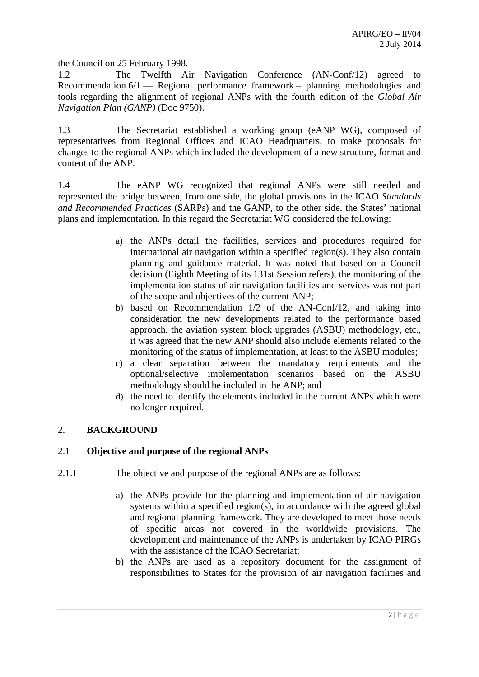the Council on 25 February 1998.

1.2 The Twelfth Air Navigation Conference (AN-Conf/12) agreed to Recommendation 6/1 — Regional performance framework – planning methodologies and tools regarding the alignment of regional ANPs with the fourth edition of the *Global Air Navigation Plan (GANP)* (Doc 9750).

1.3 The Secretariat established a working group (eANP WG), composed of representatives from Regional Offices and ICAO Headquarters, to make proposals for changes to the regional ANPs which included the development of a new structure, format and content of the ANP.

1.4 The eANP WG recognized that regional ANPs were still needed and represented the bridge between, from one side, the global provisions in the ICAO *Standards and Recommended Practices* (SARPs) and the GANP, to the other side, the States' national plans and implementation. In this regard the Secretariat WG considered the following:

- a) the ANPs detail the facilities, services and procedures required for international air navigation within a specified region(s). They also contain planning and guidance material. It was noted that based on a Council decision (Eighth Meeting of its 131st Session refers), the monitoring of the implementation status of air navigation facilities and services was not part of the scope and objectives of the current ANP;
- b) based on Recommendation 1/2 of the AN-Conf/12, and taking into consideration the new developments related to the performance based approach, the aviation system block upgrades (ASBU) methodology, etc., it was agreed that the new ANP should also include elements related to the monitoring of the status of implementation, at least to the ASBU modules;
- c) a clear separation between the mandatory requirements and the optional/selective implementation scenarios based on the ASBU methodology should be included in the ANP; and
- d) the need to identify the elements included in the current ANPs which were no longer required.

## 2. **BACKGROUND**

## 2.1 **Objective and purpose of the regional ANPs**

- 2.1.1 The objective and purpose of the regional ANPs are as follows:
	- a) the ANPs provide for the planning and implementation of air navigation systems within a specified region(s), in accordance with the agreed global and regional planning framework. They are developed to meet those needs of specific areas not covered in the worldwide provisions. The development and maintenance of the ANPs is undertaken by ICAO PIRGs with the assistance of the ICAO Secretariat;
	- b) the ANPs are used as a repository document for the assignment of responsibilities to States for the provision of air navigation facilities and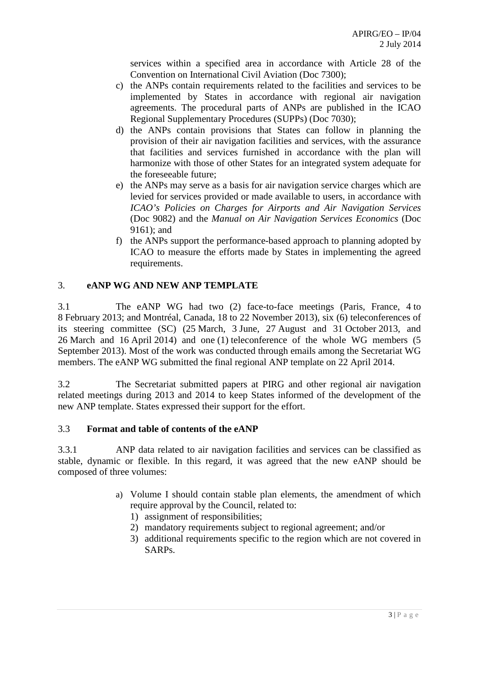services within a specified area in accordance with Article 28 of the Convention on International Civil Aviation (Doc 7300);

- c) the ANPs contain requirements related to the facilities and services to be implemented by States in accordance with regional air navigation agreements. The procedural parts of ANPs are published in the ICAO Regional Supplementary Procedures (SUPPs) (Doc 7030);
- d) the ANPs contain provisions that States can follow in planning the provision of their air navigation facilities and services, with the assurance that facilities and services furnished in accordance with the plan will harmonize with those of other States for an integrated system adequate for the foreseeable future;
- e) the ANPs may serve as a basis for air navigation service charges which are levied for services provided or made available to users, in accordance with *ICAO's Policies on Charges for Airports and Air Navigation Services* (Doc 9082) and the *Manual on Air Navigation Services Economics* (Doc 9161); and
- f) the ANPs support the performance-based approach to planning adopted by ICAO to measure the efforts made by States in implementing the agreed requirements.

## 3. **eANP WG AND NEW ANP TEMPLATE**

3.1 The eANP WG had two (2) face-to-face meetings (Paris, France, 4 to 8 February 2013; and Montréal, Canada, 18 to 22 November 2013), six (6) teleconferences of its steering committee (SC) (25 March, 3 June, 27 August and 31 October 2013, and 26 March and 16 April 2014) and one (1) teleconference of the whole WG members (5 September 2013). Most of the work was conducted through emails among the Secretariat WG members. The eANP WG submitted the final regional ANP template on 22 April 2014.

3.2 The Secretariat submitted papers at PIRG and other regional air navigation related meetings during 2013 and 2014 to keep States informed of the development of the new ANP template. States expressed their support for the effort.

## 3.3 **Format and table of contents of the eANP**

3.3.1 ANP data related to air navigation facilities and services can be classified as stable, dynamic or flexible. In this regard, it was agreed that the new eANP should be composed of three volumes:

- a) Volume I should contain stable plan elements, the amendment of which require approval by the Council, related to:
	- 1) assignment of responsibilities;
	- 2) mandatory requirements subject to regional agreement; and/or
	- 3) additional requirements specific to the region which are not covered in SARPs.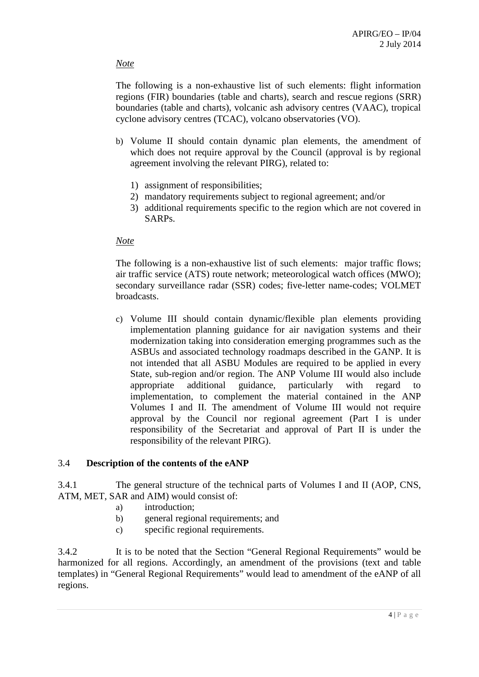### *Note*

The following is a non-exhaustive list of such elements: flight information regions (FIR) boundaries (table and charts), search and rescue regions (SRR) boundaries (table and charts), volcanic ash advisory centres (VAAC), tropical cyclone advisory centres (TCAC), volcano observatories (VO).

- b) Volume II should contain dynamic plan elements, the amendment of which does not require approval by the Council (approval is by regional agreement involving the relevant PIRG), related to:
	- 1) assignment of responsibilities;
	- 2) mandatory requirements subject to regional agreement; and/or
	- 3) additional requirements specific to the region which are not covered in SARPs.

#### *Note*

The following is a non-exhaustive list of such elements: major traffic flows; air traffic service (ATS) route network; meteorological watch offices (MWO); secondary surveillance radar (SSR) codes; five-letter name-codes; VOLMET broadcasts.

c) Volume III should contain dynamic/flexible plan elements providing implementation planning guidance for air navigation systems and their modernization taking into consideration emerging programmes such as the ASBUs and associated technology roadmaps described in the GANP. It is not intended that all ASBU Modules are required to be applied in every State, sub-region and/or region. The ANP Volume III would also include appropriate additional guidance, particularly with regard to implementation, to complement the material contained in the ANP Volumes I and II. The amendment of Volume III would not require approval by the Council nor regional agreement (Part I is under responsibility of the Secretariat and approval of Part II is under the responsibility of the relevant PIRG).

## 3.4 **Description of the contents of the eANP**

3.4.1 The general structure of the technical parts of Volumes I and II (AOP, CNS, ATM, MET, SAR and AIM) would consist of:

- a) introduction;
- b) general regional requirements; and
- c) specific regional requirements.

3.4.2 It is to be noted that the Section "General Regional Requirements" would be harmonized for all regions. Accordingly, an amendment of the provisions (text and table templates) in "General Regional Requirements" would lead to amendment of the eANP of all regions.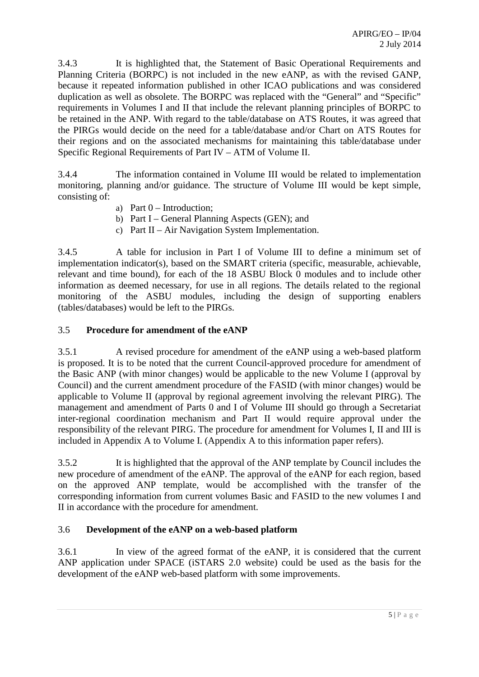3.4.3 It is highlighted that, the Statement of Basic Operational Requirements and Planning Criteria (BORPC) is not included in the new eANP, as with the revised GANP, because it repeated information published in other ICAO publications and was considered duplication as well as obsolete. The BORPC was replaced with the "General" and "Specific" requirements in Volumes I and II that include the relevant planning principles of BORPC to be retained in the ANP. With regard to the table/database on ATS Routes, it was agreed that the PIRGs would decide on the need for a table/database and/or Chart on ATS Routes for their regions and on the associated mechanisms for maintaining this table/database under Specific Regional Requirements of Part IV – ATM of Volume II.

3.4.4 The information contained in Volume III would be related to implementation monitoring, planning and/or guidance. The structure of Volume III would be kept simple, consisting of:

- a) Part  $0$  Introduction:
- b) Part I General Planning Aspects (GEN); and
- c) Part II Air Navigation System Implementation.

3.4.5 A table for inclusion in Part I of Volume III to define a minimum set of implementation indicator(s), based on the SMART criteria (specific, measurable, achievable, relevant and time bound), for each of the 18 ASBU Block 0 modules and to include other information as deemed necessary, for use in all regions. The details related to the regional monitoring of the ASBU modules, including the design of supporting enablers (tables/databases) would be left to the PIRGs.

## 3.5 **Procedure for amendment of the eANP**

3.5.1 A revised procedure for amendment of the eANP using a web-based platform is proposed. It is to be noted that the current Council-approved procedure for amendment of the Basic ANP (with minor changes) would be applicable to the new Volume I (approval by Council) and the current amendment procedure of the FASID (with minor changes) would be applicable to Volume II (approval by regional agreement involving the relevant PIRG). The management and amendment of Parts 0 and I of Volume III should go through a Secretariat inter-regional coordination mechanism and Part II would require approval under the responsibility of the relevant PIRG. The procedure for amendment for Volumes I, II and III is included in Appendix A to Volume I. (Appendix A to this information paper refers).

3.5.2 It is highlighted that the approval of the ANP template by Council includes the new procedure of amendment of the eANP. The approval of the eANP for each region, based on the approved ANP template, would be accomplished with the transfer of the corresponding information from current volumes Basic and FASID to the new volumes I and II in accordance with the procedure for amendment.

## 3.6 **Development of the eANP on a web-based platform**

3.6.1 In view of the agreed format of the eANP, it is considered that the current ANP application under SPACE (iSTARS 2.0 website) could be used as the basis for the development of the eANP web-based platform with some improvements.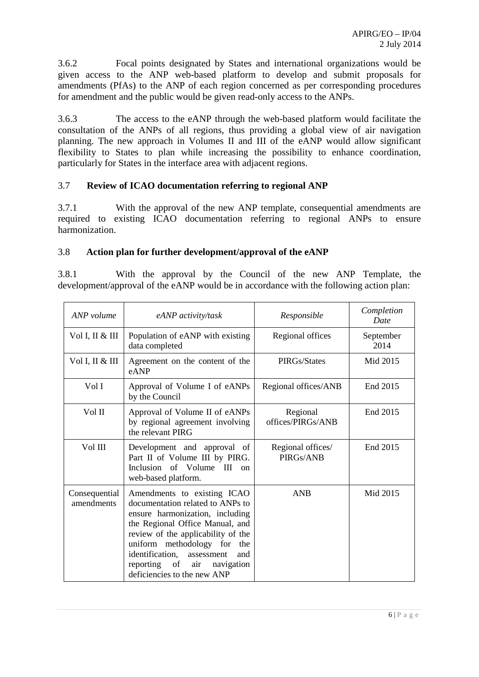3.6.2 Focal points designated by States and international organizations would be given access to the ANP web-based platform to develop and submit proposals for amendments (PfAs) to the ANP of each region concerned as per corresponding procedures for amendment and the public would be given read-only access to the ANPs.

3.6.3 The access to the eANP through the web-based platform would facilitate the consultation of the ANPs of all regions, thus providing a global view of air navigation planning. The new approach in Volumes II and III of the eANP would allow significant flexibility to States to plan while increasing the possibility to enhance coordination, particularly for States in the interface area with adjacent regions.

## 3.7 **Review of ICAO documentation referring to regional ANP**

3.7.1 With the approval of the new ANP template, consequential amendments are required to existing ICAO documentation referring to regional ANPs to ensure harmonization.

### 3.8 **Action plan for further development/approval of the eANP**

3.8.1 With the approval by the Council of the new ANP Template, the development/approval of the eANP would be in accordance with the following action plan:

| ANP volume                  | eANP activity/task                                                                                                                                                                                                                                                                                                  | Responsible                    | Completion<br>Date |
|-----------------------------|---------------------------------------------------------------------------------------------------------------------------------------------------------------------------------------------------------------------------------------------------------------------------------------------------------------------|--------------------------------|--------------------|
| Vol I, II & III             | Population of eANP with existing<br>data completed                                                                                                                                                                                                                                                                  | Regional offices               | September<br>2014  |
| Vol I, II & III             | Agreement on the content of the<br>eANP                                                                                                                                                                                                                                                                             | PIRGs/States                   | Mid 2015           |
| Vol I                       | Approval of Volume I of eANPs<br>by the Council                                                                                                                                                                                                                                                                     | Regional offices/ANB           | End 2015           |
| Vol II                      | Approval of Volume II of eANPs<br>by regional agreement involving<br>the relevant PIRG                                                                                                                                                                                                                              | Regional<br>offices/PIRGs/ANB  | End 2015           |
| Vol III                     | Development and approval of<br>Part II of Volume III by PIRG.<br>Inclusion of Volume III<br>$_{\rm on}$<br>web-based platform.                                                                                                                                                                                      | Regional offices/<br>PIRGs/ANB | End 2015           |
| Consequential<br>amendments | Amendments to existing ICAO<br>documentation related to ANPs to<br>ensure harmonization, including<br>the Regional Office Manual, and<br>review of the applicability of the<br>uniform methodology for the<br>identification,<br>assessment<br>and<br>reporting of air<br>navigation<br>deficiencies to the new ANP | <b>ANB</b>                     | Mid 2015           |